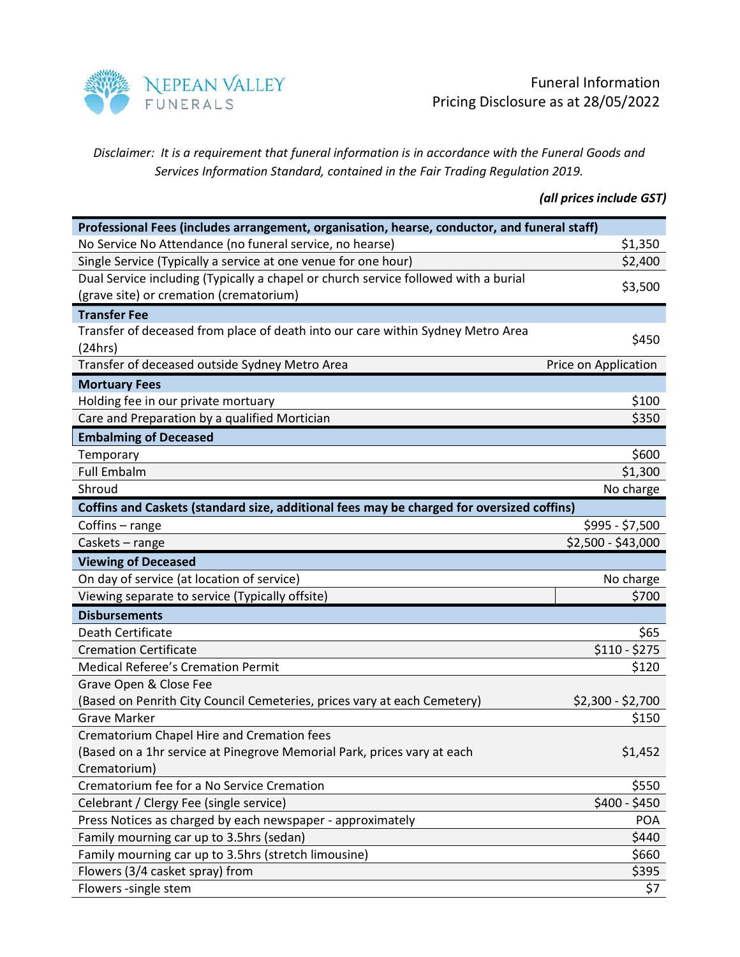

Disclaimer: It is a requirement that funeral information is in accordance with the Funeral Goods and Services Information Standard, contained in the Fair Trading Regulation 2019.

(all prices include GST)

| Professional Fees (includes arrangement, organisation, hearse, conductor, and funeral staff) |                      |
|----------------------------------------------------------------------------------------------|----------------------|
| No Service No Attendance (no funeral service, no hearse)                                     | \$1,350              |
| Single Service (Typically a service at one venue for one hour)                               | \$2,400              |
| Dual Service including (Typically a chapel or church service followed with a burial          | \$3,500              |
| (grave site) or cremation (crematorium)                                                      |                      |
| <b>Transfer Fee</b>                                                                          |                      |
| Transfer of deceased from place of death into our care within Sydney Metro Area              | \$450                |
| (24hrs)                                                                                      |                      |
| Transfer of deceased outside Sydney Metro Area                                               | Price on Application |
| <b>Mortuary Fees</b>                                                                         |                      |
| Holding fee in our private mortuary                                                          | \$100                |
| Care and Preparation by a qualified Mortician                                                | \$350                |
| <b>Embalming of Deceased</b>                                                                 |                      |
| Temporary                                                                                    | \$600                |
| <b>Full Embalm</b>                                                                           | \$1,300              |
| Shroud                                                                                       | No charge            |
| Coffins and Caskets (standard size, additional fees may be charged for oversized coffins)    |                      |
| Coffins - range                                                                              | \$995 - \$7,500      |
| Caskets - range                                                                              | \$2,500 - \$43,000   |
| <b>Viewing of Deceased</b>                                                                   |                      |
| On day of service (at location of service)                                                   | No charge            |
| Viewing separate to service (Typically offsite)                                              | \$700                |
| <b>Disbursements</b>                                                                         |                      |
| Death Certificate                                                                            | \$65                 |
| <b>Cremation Certificate</b>                                                                 | $$110 - $275$        |
| <b>Medical Referee's Cremation Permit</b>                                                    | \$120                |
| Grave Open & Close Fee                                                                       |                      |
| (Based on Penrith City Council Cemeteries, prices vary at each Cemetery)                     | \$2,300 - \$2,700    |
| <b>Grave Marker</b>                                                                          | \$150                |
| Crematorium Chapel Hire and Cremation fees                                                   |                      |
| (Based on a 1hr service at Pinegrove Memorial Park, prices vary at each                      | \$1,452              |
| Crematorium)                                                                                 |                      |
| Crematorium fee for a No Service Cremation                                                   | \$550                |
| Celebrant / Clergy Fee (single service)                                                      | $$400 - $450$        |
| Press Notices as charged by each newspaper - approximately                                   | <b>POA</b>           |
| Family mourning car up to 3.5hrs (sedan)                                                     | \$440                |
| Family mourning car up to 3.5hrs (stretch limousine)                                         | \$660                |
| Flowers (3/4 casket spray) from                                                              | \$395                |
| Flowers -single stem                                                                         | \$7                  |